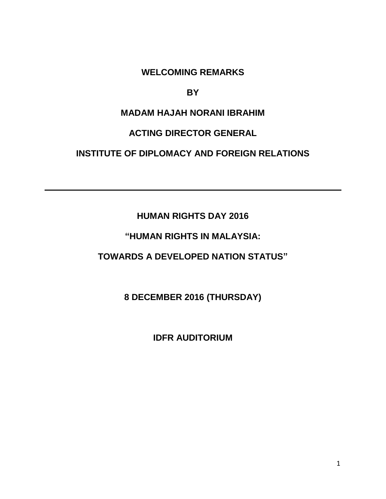**WELCOMING REMARKS** 

#### **BY**

# **MADAM HAJAH NORANI IBRAHIM**

### **ACTING DIRECTOR GENERAL**

## **INSTITUTE OF DIPLOMACY AND FOREIGN RELATIONS**

# **HUMAN RIGHTS DAY 2016**

# **"HUMAN RIGHTS IN MALAYSIA:**

## **TOWARDS A DEVELOPED NATION STATUS"**

# **8 DECEMBER 2016 (THURSDAY)**

### **IDFR AUDITORIUM**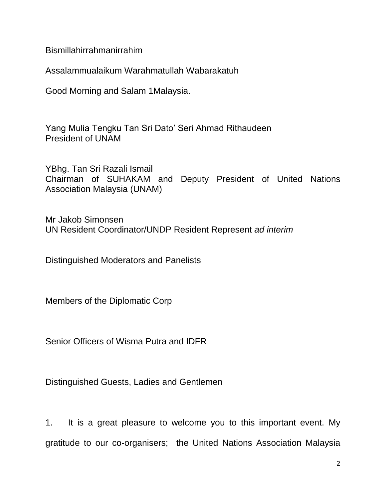Bismillahirrahmanirrahim

Assalammualaikum Warahmatullah Wabarakatuh

Good Morning and Salam 1Malaysia.

Yang Mulia Tengku Tan Sri Dato' Seri Ahmad Rithaudeen President of UNAM

YBhg. Tan Sri Razali Ismail Chairman of SUHAKAM and Deputy President of United Nations Association Malaysia (UNAM)

Mr Jakob Simonsen UN Resident Coordinator/UNDP Resident Represent *ad interim*

Distinguished Moderators and Panelists

Members of the Diplomatic Corp

Senior Officers of Wisma Putra and IDFR

Distinguished Guests, Ladies and Gentlemen

1. It is a great pleasure to welcome you to this important event. My gratitude to our co-organisers; the United Nations Association Malaysia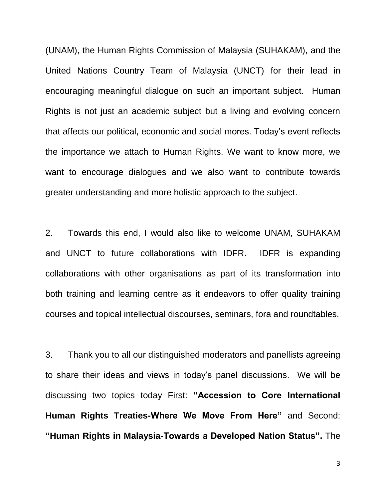(UNAM), the Human Rights Commission of Malaysia (SUHAKAM), and the United Nations Country Team of Malaysia (UNCT) for their lead in encouraging meaningful dialogue on such an important subject. Human Rights is not just an academic subject but a living and evolving concern that affects our political, economic and social mores. Today's event reflects the importance we attach to Human Rights. We want to know more, we want to encourage dialogues and we also want to contribute towards greater understanding and more holistic approach to the subject.

2. Towards this end, I would also like to welcome UNAM, SUHAKAM and UNCT to future collaborations with IDFR. IDFR is expanding collaborations with other organisations as part of its transformation into both training and learning centre as it endeavors to offer quality training courses and topical intellectual discourses, seminars, fora and roundtables.

3. Thank you to all our distinguished moderators and panellists agreeing to share their ideas and views in today's panel discussions. We will be discussing two topics today First: **"Accession to Core International Human Rights Treaties-Where We Move From Here"** and Second: **"Human Rights in Malaysia-Towards a Developed Nation Status".** The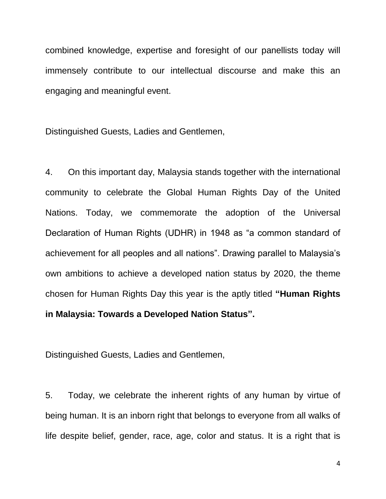combined knowledge, expertise and foresight of our panellists today will immensely contribute to our intellectual discourse and make this an engaging and meaningful event.

Distinguished Guests, Ladies and Gentlemen,

4. On this important day, Malaysia stands together with the international community to celebrate the Global Human Rights Day of the United Nations. Today, we commemorate the adoption of the Universal Declaration of Human Rights (UDHR) in 1948 as "a common standard of achievement for all peoples and all nations". Drawing parallel to Malaysia's own ambitions to achieve a developed nation status by 2020, the theme chosen for Human Rights Day this year is the aptly titled **"Human Rights in Malaysia: Towards a Developed Nation Status".** 

Distinguished Guests, Ladies and Gentlemen,

5. Today, we celebrate the inherent rights of any human by virtue of being human. It is an inborn right that belongs to everyone from all walks of life despite belief, gender, race, age, color and status. It is a right that is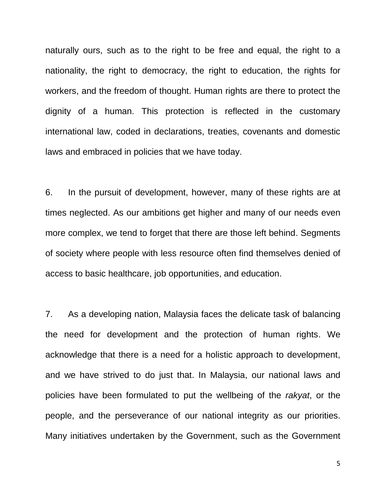naturally ours, such as to the right to be free and equal, the right to a nationality, the right to democracy, the right to education, the rights for workers, and the freedom of thought. Human rights are there to protect the dignity of a human. This protection is reflected in the customary international law, coded in declarations, treaties, covenants and domestic laws and embraced in policies that we have today.

6. In the pursuit of development, however, many of these rights are at times neglected. As our ambitions get higher and many of our needs even more complex, we tend to forget that there are those left behind. Segments of society where people with less resource often find themselves denied of access to basic healthcare, job opportunities, and education.

7. As a developing nation, Malaysia faces the delicate task of balancing the need for development and the protection of human rights. We acknowledge that there is a need for a holistic approach to development, and we have strived to do just that. In Malaysia, our national laws and policies have been formulated to put the wellbeing of the *rakyat*, or the people, and the perseverance of our national integrity as our priorities. Many initiatives undertaken by the Government, such as the Government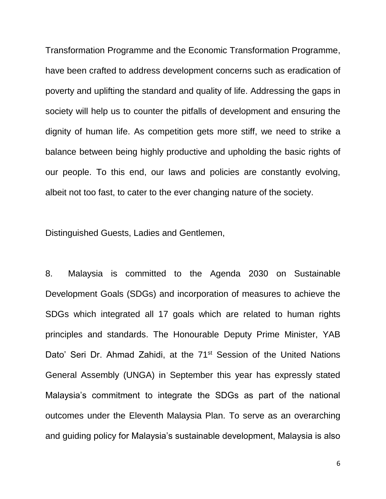Transformation Programme and the Economic Transformation Programme, have been crafted to address development concerns such as eradication of poverty and uplifting the standard and quality of life. Addressing the gaps in society will help us to counter the pitfalls of development and ensuring the dignity of human life. As competition gets more stiff, we need to strike a balance between being highly productive and upholding the basic rights of our people. To this end, our laws and policies are constantly evolving, albeit not too fast, to cater to the ever changing nature of the society.

Distinguished Guests, Ladies and Gentlemen,

8. Malaysia is committed to the Agenda 2030 on Sustainable Development Goals (SDGs) and incorporation of measures to achieve the SDGs which integrated all 17 goals which are related to human rights principles and standards. The Honourable Deputy Prime Minister, YAB Dato' Seri Dr. Ahmad Zahidi, at the 71<sup>st</sup> Session of the United Nations General Assembly (UNGA) in September this year has expressly stated Malaysia's commitment to integrate the SDGs as part of the national outcomes under the Eleventh Malaysia Plan. To serve as an overarching and guiding policy for Malaysia's sustainable development, Malaysia is also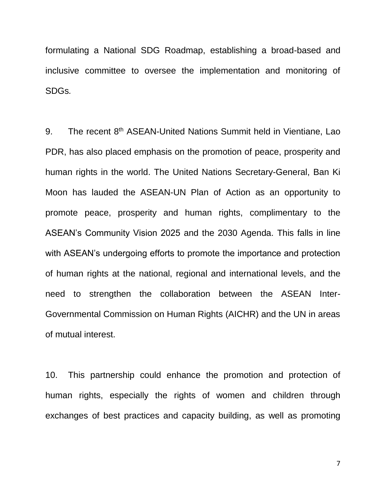formulating a National SDG Roadmap, establishing a broad-based and inclusive committee to oversee the implementation and monitoring of SDGs*.*

9. The recent 8<sup>th</sup> ASEAN-United Nations Summit held in Vientiane, Lao PDR, has also placed emphasis on the promotion of peace, prosperity and human rights in the world. The United Nations Secretary-General, Ban Ki Moon has lauded the ASEAN-UN Plan of Action as an opportunity to promote peace, prosperity and human rights, complimentary to the ASEAN's Community Vision 2025 and the 2030 Agenda. This falls in line with ASEAN's undergoing efforts to promote the importance and protection of human rights at the national, regional and international levels, and the need to strengthen the collaboration between the ASEAN Inter-Governmental Commission on Human Rights (AICHR) and the UN in areas of mutual interest.

10. This partnership could enhance the promotion and protection of human rights, especially the rights of women and children through exchanges of best practices and capacity building, as well as promoting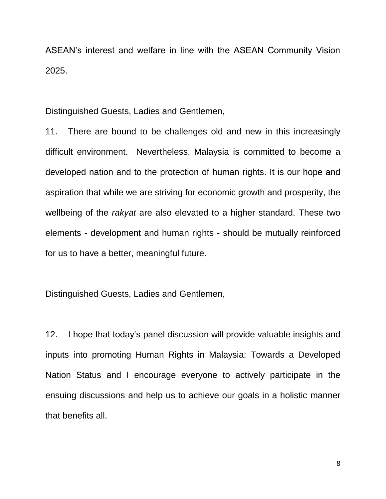ASEAN's interest and welfare in line with the ASEAN Community Vision 2025.

Distinguished Guests, Ladies and Gentlemen,

11. There are bound to be challenges old and new in this increasingly difficult environment. Nevertheless, Malaysia is committed to become a developed nation and to the protection of human rights. It is our hope and aspiration that while we are striving for economic growth and prosperity, the wellbeing of the *rakyat* are also elevated to a higher standard. These two elements - development and human rights - should be mutually reinforced for us to have a better, meaningful future.

Distinguished Guests, Ladies and Gentlemen,

12. I hope that today's panel discussion will provide valuable insights and inputs into promoting Human Rights in Malaysia: Towards a Developed Nation Status and I encourage everyone to actively participate in the ensuing discussions and help us to achieve our goals in a holistic manner that benefits all.